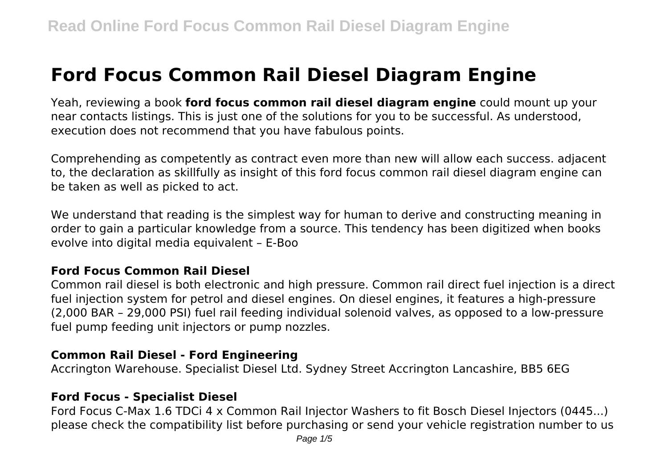# **Ford Focus Common Rail Diesel Diagram Engine**

Yeah, reviewing a book **ford focus common rail diesel diagram engine** could mount up your near contacts listings. This is just one of the solutions for you to be successful. As understood, execution does not recommend that you have fabulous points.

Comprehending as competently as contract even more than new will allow each success. adjacent to, the declaration as skillfully as insight of this ford focus common rail diesel diagram engine can be taken as well as picked to act.

We understand that reading is the simplest way for human to derive and constructing meaning in order to gain a particular knowledge from a source. This tendency has been digitized when books evolve into digital media equivalent – E-Boo

#### **Ford Focus Common Rail Diesel**

Common rail diesel is both electronic and high pressure. Common rail direct fuel injection is a direct fuel injection system for petrol and diesel engines. On diesel engines, it features a high-pressure (2,000 BAR – 29,000 PSI) fuel rail feeding individual solenoid valves, as opposed to a low-pressure fuel pump feeding unit injectors or pump nozzles.

#### **Common Rail Diesel - Ford Engineering**

Accrington Warehouse. Specialist Diesel Ltd. Sydney Street Accrington Lancashire, BB5 6EG

#### **Ford Focus - Specialist Diesel**

Ford Focus C-Max 1.6 TDCi 4 x Common Rail Injector Washers to fit Bosch Diesel Injectors (0445...) please check the compatibility list before purchasing or send your vehicle registration number to us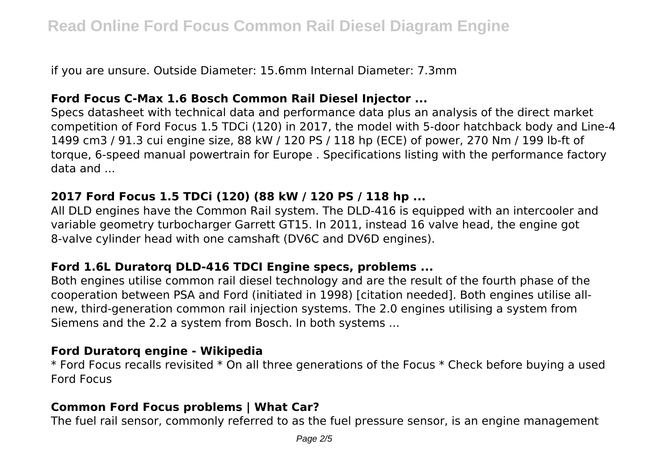if you are unsure. Outside Diameter: 15.6mm Internal Diameter: 7.3mm

### **Ford Focus C-Max 1.6 Bosch Common Rail Diesel Injector ...**

Specs datasheet with technical data and performance data plus an analysis of the direct market competition of Ford Focus 1.5 TDCi (120) in 2017, the model with 5-door hatchback body and Line-4 1499 cm3 / 91.3 cui engine size, 88 kW / 120 PS / 118 hp (ECE) of power, 270 Nm / 199 lb-ft of torque, 6-speed manual powertrain for Europe . Specifications listing with the performance factory data and ...

# **2017 Ford Focus 1.5 TDCi (120) (88 kW / 120 PS / 118 hp ...**

All DLD engines have the Common Rail system. The DLD-416 is equipped with an intercooler and variable geometry turbocharger Garrett GT15. In 2011, instead 16 valve head, the engine got 8-valve cylinder head with one camshaft (DV6C and DV6D engines).

# **Ford 1.6L Duratorq DLD-416 TDCI Engine specs, problems ...**

Both engines utilise common rail diesel technology and are the result of the fourth phase of the cooperation between PSA and Ford (initiated in 1998) [citation needed]. Both engines utilise allnew, third-generation common rail injection systems. The 2.0 engines utilising a system from Siemens and the 2.2 a system from Bosch. In both systems ...

#### **Ford Duratorq engine - Wikipedia**

\* Ford Focus recalls revisited \* On all three generations of the Focus \* Check before buying a used Ford Focus

# **Common Ford Focus problems | What Car?**

The fuel rail sensor, commonly referred to as the fuel pressure sensor, is an engine management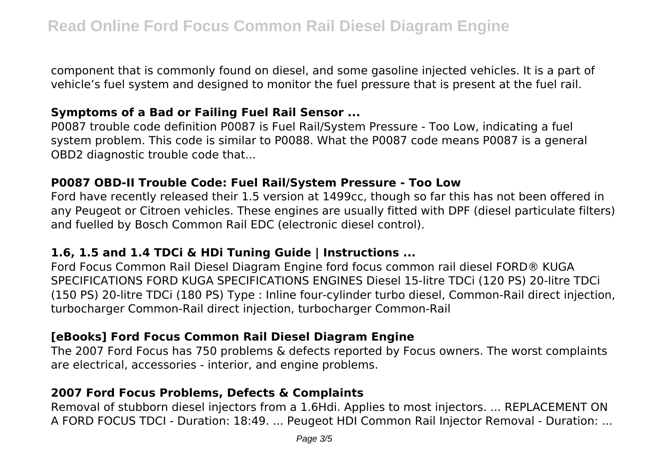component that is commonly found on diesel, and some gasoline injected vehicles. It is a part of vehicle's fuel system and designed to monitor the fuel pressure that is present at the fuel rail.

#### **Symptoms of a Bad or Failing Fuel Rail Sensor ...**

P0087 trouble code definition P0087 is Fuel Rail/System Pressure - Too Low, indicating a fuel system problem. This code is similar to P0088. What the P0087 code means P0087 is a general OBD2 diagnostic trouble code that...

#### **P0087 OBD-II Trouble Code: Fuel Rail/System Pressure - Too Low**

Ford have recently released their 1.5 version at 1499cc, though so far this has not been offered in any Peugeot or Citroen vehicles. These engines are usually fitted with DPF (diesel particulate filters) and fuelled by Bosch Common Rail EDC (electronic diesel control).

#### **1.6, 1.5 and 1.4 TDCi & HDi Tuning Guide | Instructions ...**

Ford Focus Common Rail Diesel Diagram Engine ford focus common rail diesel FORD® KUGA SPECIFICATIONS FORD KUGA SPECIFICATIONS ENGINES Diesel 15-litre TDCi (120 PS) 20-litre TDCi (150 PS) 20-litre TDCi (180 PS) Type : Inline four-cylinder turbo diesel, Common-Rail direct injection, turbocharger Common-Rail direct injection, turbocharger Common-Rail

#### **[eBooks] Ford Focus Common Rail Diesel Diagram Engine**

The 2007 Ford Focus has 750 problems & defects reported by Focus owners. The worst complaints are electrical, accessories - interior, and engine problems.

#### **2007 Ford Focus Problems, Defects & Complaints**

Removal of stubborn diesel injectors from a 1.6Hdi. Applies to most injectors. ... REPLACEMENT ON A FORD FOCUS TDCI - Duration: 18:49. ... Peugeot HDI Common Rail Injector Removal - Duration: ...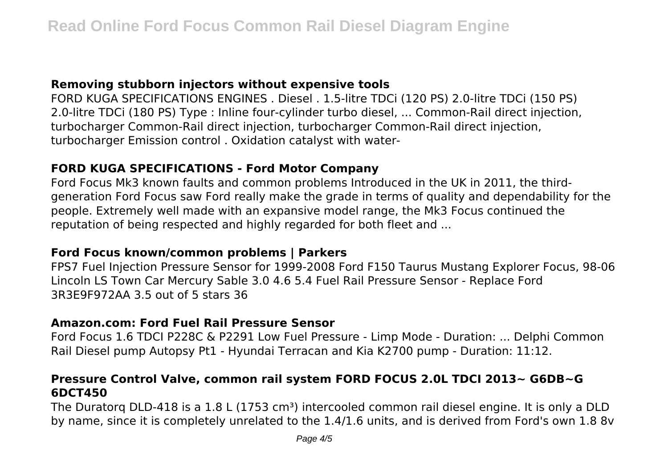### **Removing stubborn injectors without expensive tools**

FORD KUGA SPECIFICATIONS ENGINES . Diesel . 1.5-litre TDCi (120 PS) 2.0-litre TDCi (150 PS) 2.0-litre TDCi (180 PS) Type : Inline four-cylinder turbo diesel, ... Common-Rail direct injection, turbocharger Common-Rail direct injection, turbocharger Common-Rail direct injection, turbocharger Emission control . Oxidation catalyst with water-

# **FORD KUGA SPECIFICATIONS - Ford Motor Company**

Ford Focus Mk3 known faults and common problems Introduced in the UK in 2011, the thirdgeneration Ford Focus saw Ford really make the grade in terms of quality and dependability for the people. Extremely well made with an expansive model range, the Mk3 Focus continued the reputation of being respected and highly regarded for both fleet and ...

#### **Ford Focus known/common problems | Parkers**

FPS7 Fuel Injection Pressure Sensor for 1999-2008 Ford F150 Taurus Mustang Explorer Focus, 98-06 Lincoln LS Town Car Mercury Sable 3.0 4.6 5.4 Fuel Rail Pressure Sensor - Replace Ford 3R3E9F972AA 3.5 out of 5 stars 36

# **Amazon.com: Ford Fuel Rail Pressure Sensor**

Ford Focus 1.6 TDCI P228C & P2291 Low Fuel Pressure - Limp Mode - Duration: ... Delphi Common Rail Diesel pump Autopsy Pt1 - Hyundai Terracan and Kia K2700 pump - Duration: 11:12.

# **Pressure Control Valve, common rail system FORD FOCUS 2.0L TDCI 2013~ G6DB~G 6DCT450**

The Duratorg DLD-418 is a 1.8 L (1753 cm<sup>3</sup>) intercooled common rail diesel engine. It is only a DLD by name, since it is completely unrelated to the 1.4/1.6 units, and is derived from Ford's own 1.8 8v